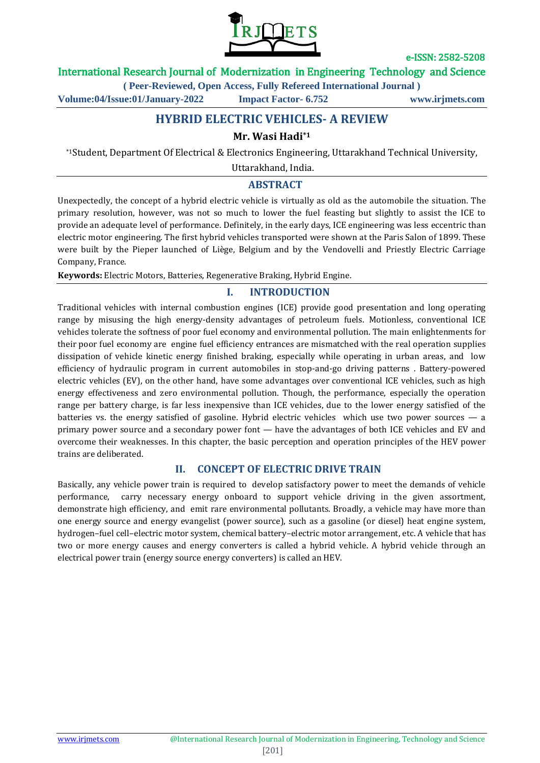

International Research Journal of Modernization in Engineering Technology and Science

**( Peer-Reviewed, Open Access, Fully Refereed International Journal )**

**Volume:04/Issue:01/January-2022 Impact Factor- 6.752 www.irjmets.com**

# **HYBRID ELECTRIC VEHICLES- A REVIEW**

#### **Mr. Wasi Hadi\*1**

\*1Student, Department Of Electrical & Electronics Engineering, Uttarakhand Technical University,

Uttarakhand, India.

#### **ABSTRACT**

Unexpectedly, the concept of a hybrid electric vehicle is virtually as old as the automobile the situation. The primary resolution, however, was not so much to lower the fuel feasting but slightly to assist the ICE to provide an adequate level of performance. Definitely, in the early days, ICE engineering was less eccentric than electric motor engineering. The first hybrid vehicles transported were shown at the Paris Salon of 1899. These were built by the Pieper launched of Liège, Belgium and by the Vendovelli and Priestly Electric Carriage Company, France.

**Keywords:** Electric Motors, Batteries, Regenerative Braking, Hybrid Engine.

### **I. INTRODUCTION**

Traditional vehicles with internal combustion engines (ICE) provide good presentation and long operating range by misusing the high energy-density advantages of petroleum fuels. Motionless, conventional ICE vehicles tolerate the softness of poor fuel economy and environmental pollution. The main enlightenments for their poor fuel economy are engine fuel efficiency entrances are mismatched with the real operation supplies dissipation of vehicle kinetic energy finished braking, especially while operating in urban areas, and low efficiency of hydraulic program in current automobiles in stop-and-go driving patterns . Battery-powered electric vehicles (EV), on the other hand, have some advantages over conventional ICE vehicles, such as high energy effectiveness and zero environmental pollution. Though, the performance, especially the operation range per battery charge, is far less inexpensive than ICE vehicles, due to the lower energy satisfied of the batteries vs. the energy satisfied of gasoline. Hybrid electric vehicles which use two power sources — a primary power source and a secondary power font — have the advantages of both ICE vehicles and EV and overcome their weaknesses. In this chapter, the basic perception and operation principles of the HEV power trains are deliberated.

#### **II. CONCEPT OF ELECTRIC DRIVE TRAIN**

Basically, any vehicle power train is required to develop satisfactory power to meet the demands of vehicle performance, carry necessary energy onboard to support vehicle driving in the given assortment, demonstrate high efficiency, and emit rare environmental pollutants. Broadly, a vehicle may have more than one energy source and energy evangelist (power source), such as a gasoline (or diesel) heat engine system, hydrogen–fuel cell–electric motor system, chemical battery–electric motor arrangement, etc. A vehicle that has two or more energy causes and energy converters is called a hybrid vehicle. A hybrid vehicle through an electrical power train (energy source energy converters) is called an HEV.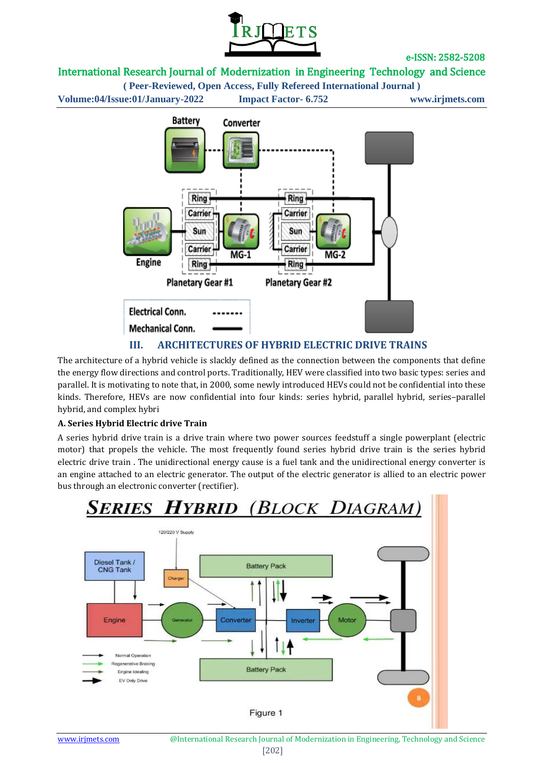

## International Research Journal of Modernization in Engineering Technology and Science

**( Peer-Reviewed, Open Access, Fully Refereed International Journal ) Volume:04/Issue:01/January-2022 Impact Factor- 6.752 www.irjmets.com**



The architecture of a hybrid vehicle is slackly defined as the connection between the components that define the energy flow directions and control ports. Traditionally, HEV were classified into two basic types: series and parallel. It is motivating to note that, in 2000, some newly introduced HEVs could not be confidential into these kinds. Therefore, HEVs are now confidential into four kinds: series hybrid, parallel hybrid, series–parallel hybrid, and complex hybri

#### **A. Series Hybrid Electric drive Train**

A series hybrid drive train is a drive train where two power sources feedstuff a single powerplant (electric motor) that propels the vehicle. The most frequently found series hybrid drive train is the series hybrid electric drive train . The unidirectional energy cause is a fuel tank and the unidirectional energy converter is an engine attached to an electric generator. The output of the electric generator is allied to an electric power bus through an electronic converter (rectifier).

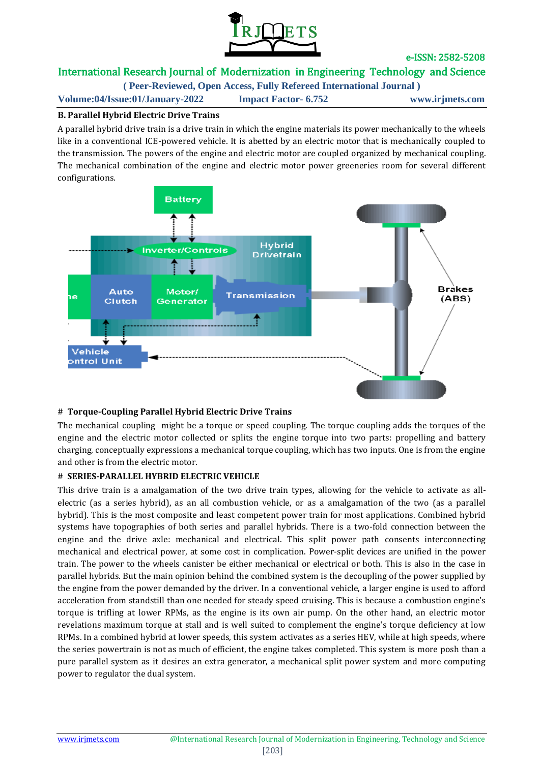

## International Research Journal of Modernization in Engineering Technology and Science

**( Peer-Reviewed, Open Access, Fully Refereed International Journal )**

**Volume:04/Issue:01/January-2022 Impact Factor- 6.752 www.irjmets.com**

## **B. Parallel Hybrid Electric Drive Trains**

A parallel hybrid drive train is a drive train in which the engine materials its power mechanically to the wheels like in a conventional ICE-powered vehicle. It is abetted by an electric motor that is mechanically coupled to the transmission. The powers of the engine and electric motor are coupled organized by mechanical coupling. The mechanical combination of the engine and electric motor power greeneries room for several different configurations.



### # **Torque-Coupling Parallel Hybrid Electric Drive Trains**

The mechanical coupling might be a torque or speed coupling. The torque coupling adds the torques of the engine and the electric motor collected or splits the engine torque into two parts: propelling and battery charging, conceptually expressions a mechanical torque coupling, which has two inputs. One is from the engine and other is from the electric motor.

## # **SERIES-PARALLEL HYBRID ELECTRIC VEHICLE**

This drive train is a amalgamation of the two drive train types, allowing for the vehicle to activate as allelectric (as a series hybrid), as an all combustion vehicle, or as a amalgamation of the two (as a parallel hybrid). This is the most composite and least competent power train for most applications. Combined hybrid systems have topographies of both series and parallel hybrids. There is a two-fold connection between the engine and the drive axle: mechanical and electrical. This split power path consents interconnecting mechanical and electrical power, at some cost in complication. Power-split devices are unified in the power train. The power to the wheels canister be either mechanical or electrical or both. This is also in the case in parallel hybrids. But the main opinion behind the combined system is the decoupling of the power supplied by the engine from the power demanded by the driver. In a conventional vehicle, a larger engine is used to afford acceleration from standstill than one needed for steady speed cruising. This is because a combustion engine's torque is trifling at lower RPMs, as the engine is its own air pump. On the other hand, an electric motor revelations maximum torque at stall and is well suited to complement the engine's torque deficiency at low RPMs. In a combined hybrid at lower speeds, this system activates as a series HEV, while at high speeds, where the series powertrain is not as much of efficient, the engine takes completed. This system is more posh than a pure parallel system as it desires an extra generator, a mechanical split power system and more computing power to regulator the dual system.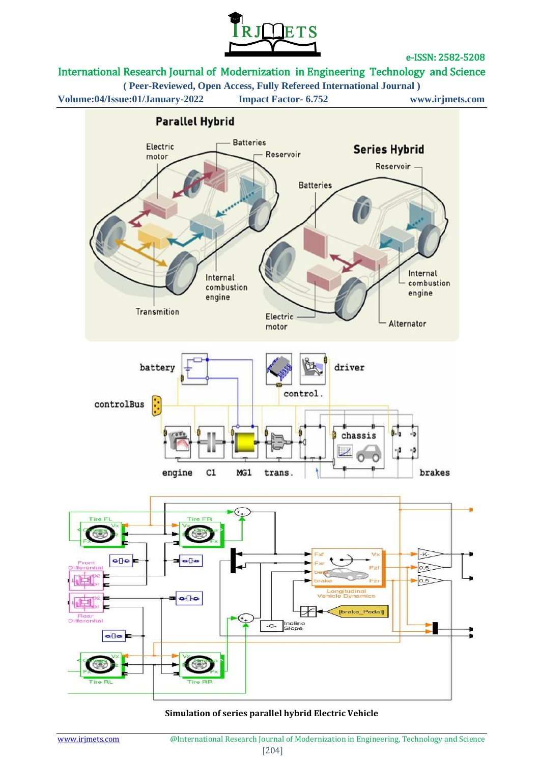

## International Research Journal of Modernization in Engineering Technology and Science

**( Peer-Reviewed, Open Access, Fully Refereed International Journal )**

**Volume:04/Issue:01/January-2022 Impact Factor- 6.752 www.irjmets.com**





#### **Simulation of series parallel hybrid Electric Vehicle**